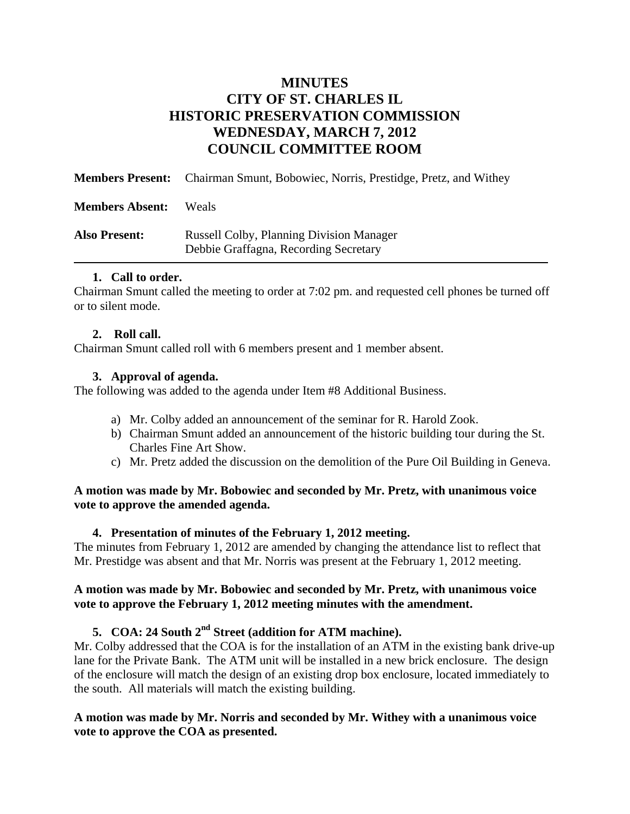# **MINUTES CITY OF ST. CHARLES IL HISTORIC PRESERVATION COMMISSION WEDNESDAY, MARCH 7, 2012 COUNCIL COMMITTEE ROOM**

|                        | <b>Members Present:</b> Chairman Smunt, Bobowiec, Norris, Prestidge, Pretz, and Withey   |
|------------------------|------------------------------------------------------------------------------------------|
| <b>Members Absent:</b> | <b>Weals</b>                                                                             |
| <b>Also Present:</b>   | <b>Russell Colby, Planning Division Manager</b><br>Debbie Graffagna, Recording Secretary |

#### **1. Call to order.**

Chairman Smunt called the meeting to order at 7:02 pm. and requested cell phones be turned off or to silent mode.

#### **2. Roll call.**

Chairman Smunt called roll with 6 members present and 1 member absent.

## **3. Approval of agenda.**

The following was added to the agenda under Item #8 Additional Business.

- a) Mr. Colby added an announcement of the seminar for R. Harold Zook.
- b) Chairman Smunt added an announcement of the historic building tour during the St. Charles Fine Art Show.
- c) Mr. Pretz added the discussion on the demolition of the Pure Oil Building in Geneva.

## **A motion was made by Mr. Bobowiec and seconded by Mr. Pretz, with unanimous voice vote to approve the amended agenda.**

#### **4. Presentation of minutes of the February 1, 2012 meeting.**

The minutes from February 1, 2012 are amended by changing the attendance list to reflect that Mr. Prestidge was absent and that Mr. Norris was present at the February 1, 2012 meeting.

## **A motion was made by Mr. Bobowiec and seconded by Mr. Pretz, with unanimous voice vote to approve the February 1, 2012 meeting minutes with the amendment.**

# **5. COA: 24 South 2nd Street (addition for ATM machine).**

Mr. Colby addressed that the COA is for the installation of an ATM in the existing bank drive-up lane for the Private Bank. The ATM unit will be installed in a new brick enclosure. The design of the enclosure will match the design of an existing drop box enclosure, located immediately to the south. All materials will match the existing building.

## **A motion was made by Mr. Norris and seconded by Mr. Withey with a unanimous voice vote to approve the COA as presented.**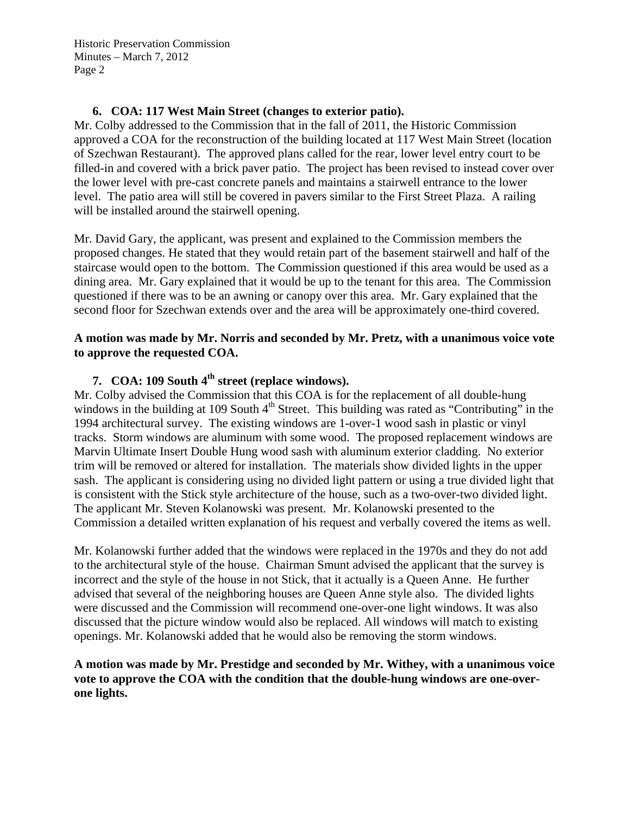Historic Preservation Commission Minutes – March 7, 2012 Page 2

#### **6. COA: 117 West Main Street (changes to exterior patio).**

Mr. Colby addressed to the Commission that in the fall of 2011, the Historic Commission approved a COA for the reconstruction of the building located at 117 West Main Street (location of Szechwan Restaurant). The approved plans called for the rear, lower level entry court to be filled-in and covered with a brick paver patio. The project has been revised to instead cover over the lower level with pre-cast concrete panels and maintains a stairwell entrance to the lower level. The patio area will still be covered in pavers similar to the First Street Plaza. A railing will be installed around the stairwell opening.

Mr. David Gary, the applicant, was present and explained to the Commission members the proposed changes. He stated that they would retain part of the basement stairwell and half of the staircase would open to the bottom. The Commission questioned if this area would be used as a dining area. Mr. Gary explained that it would be up to the tenant for this area. The Commission questioned if there was to be an awning or canopy over this area. Mr. Gary explained that the second floor for Szechwan extends over and the area will be approximately one-third covered.

## **A motion was made by Mr. Norris and seconded by Mr. Pretz, with a unanimous voice vote to approve the requested COA.**

# **7. COA: 109 South 4th street (replace windows).**

Mr. Colby advised the Commission that this COA is for the replacement of all double-hung windows in the building at 109 South  $4<sup>th</sup>$  Street. This building was rated as "Contributing" in the 1994 architectural survey. The existing windows are 1-over-1 wood sash in plastic or vinyl tracks. Storm windows are aluminum with some wood. The proposed replacement windows are Marvin Ultimate Insert Double Hung wood sash with aluminum exterior cladding. No exterior trim will be removed or altered for installation. The materials show divided lights in the upper sash. The applicant is considering using no divided light pattern or using a true divided light that is consistent with the Stick style architecture of the house, such as a two-over-two divided light. The applicant Mr. Steven Kolanowski was present. Mr. Kolanowski presented to the Commission a detailed written explanation of his request and verbally covered the items as well.

Mr. Kolanowski further added that the windows were replaced in the 1970s and they do not add to the architectural style of the house. Chairman Smunt advised the applicant that the survey is incorrect and the style of the house in not Stick, that it actually is a Queen Anne. He further advised that several of the neighboring houses are Queen Anne style also. The divided lights were discussed and the Commission will recommend one-over-one light windows. It was also discussed that the picture window would also be replaced. All windows will match to existing openings. Mr. Kolanowski added that he would also be removing the storm windows.

## **A motion was made by Mr. Prestidge and seconded by Mr. Withey, with a unanimous voice vote to approve the COA with the condition that the double-hung windows are one-overone lights.**